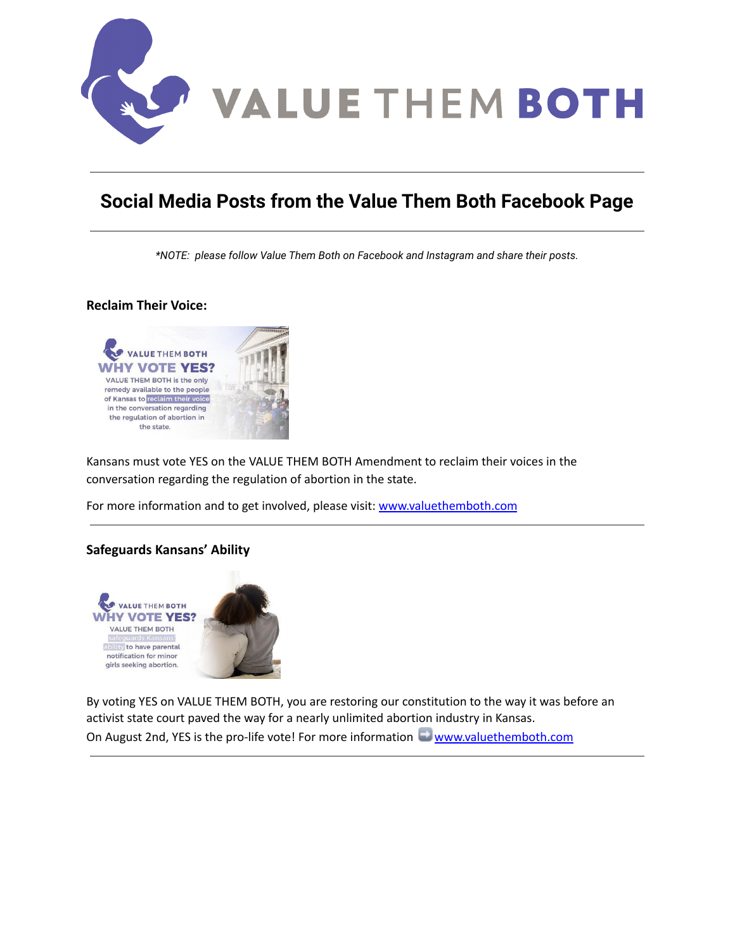

# **Social Media Posts from the Value Them Both Facebook Page**

*\*NOTE: please follow Value Them Both on Facebook and Instagram and share their posts.*

## **Reclaim Their Voice:**



Kansans must vote YES on the VALUE THEM BOTH Amendment to reclaim their voices in the conversation regarding the regulation of abortion in the state.

For more information and to get involved, please visit: [www.valuethemboth.com](http://www.valuethemboth.com/?fbclid=IwAR33dQosg78DJsIkmcbRwiCwbSIQEX4p_vLTrCZ6eg2517VhC1Bgd6JtueU)

## **Safeguards Kansans' Ability**



By voting YES on VALUE THEM BOTH, you are restoring our constitution to the way it was before an activist state court paved the way for a nearly unlimited abortion industry in Kansas. On August 2nd, YES is the pro-life vote! For more information [www.valuethemboth.com](http://www.valuethemboth.com/?fbclid=IwAR0C1nuWYKC_RhgJjZLpfrnEpLqtWdu232qdOhQrZi2YG5Uh5Y2laOvNRvg)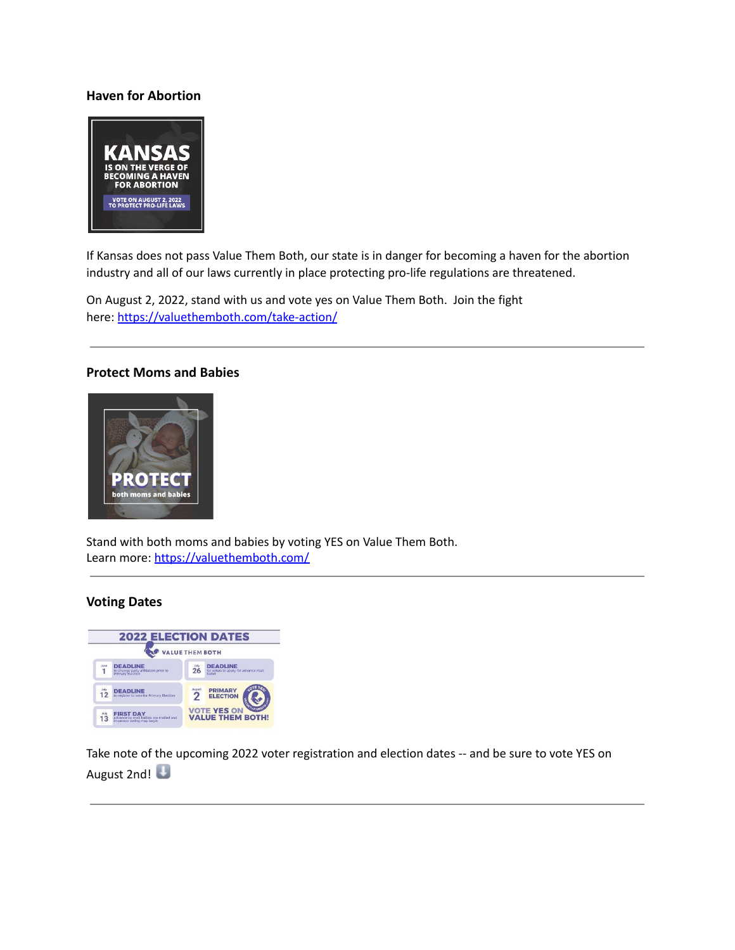## **Haven for Abortion**



If Kansas does not pass Value Them Both, our state is in danger for becoming a haven for the abortion industry and all of our laws currently in place protecting pro-life regulations are threatened.

On August 2, 2022, stand with us and vote yes on Value Them Both. Join the fight here: [https://valuethemboth.com/take-action/](https://l.facebook.com/l.php?u=https%3A%2F%2Fvaluethemboth.com%2Ftake-action%2F%3Ffbclid%3DIwAR13b3gW3AyxkKzYsCMH6YcAetYvHC03kvDrJrVZXzvSIDbuu3OT3w2EnCc&h=AT2xEDOAPfqojTPrPhQqSwXjw5_c81nCikEfVWVNAd4TDKEqTbxXxVtaXaKtquieZL4Pig3SRuaCc3wMPxz3Gb9MqifqQZZOCWpd3-KpabGoYrt-onVpUiVg-AUB-ZHqnXK3&__tn__=-UK*F&c%5b0%5d=AT1NNEjsOWarq6UXKxt4h-ocWnKYaDyyVQB6lbWKqVfHCv3ohssfGTPOcPGmSBmVC26Z8NYbacDx181wW4kX00WsaZawoOiCdbwbk_m6TJK-qHUkJpWq3NYdUFOWniuZkpGkWpG-ZWBsVWb8oA1Dc7ZC5ubWo-DvCmhQCuafh9ePQfLL)

#### **Protect Moms and Babies**



Stand with both moms and babies by voting YES on Value Them Both. Learn more: [https://valuethemboth.com/](https://valuethemboth.com/?fbclid=IwAR0IJR1eK4Kat4u4pLf42H_daMUdiLTHF67aOSULoG1xVYHrOz85B0PGmtk)

## **Voting Dates**

|            | <b>2022 ELECTION DATES</b><br><b>VALUE THEM BOTH</b>                                     |                                               |                                                                   |
|------------|------------------------------------------------------------------------------------------|-----------------------------------------------|-------------------------------------------------------------------|
| June       | <b>DEADLINE</b><br>to change party affiliation prior to<br>Primary Election              | $\tilde{26}$                                  | <b>DEADLINE</b><br>for voters to apply for advance mail<br>ballot |
| 12         | <b>DEADLINE</b><br>to register to vote for Primary Election                              |                                               | <b>PRIMARY</b><br><b>ELECTION</b>                                 |
| July<br>13 | <b>FIRST DAY</b><br>advance by mail ballots are mailed and<br>in-person voting may begin | <b>VOTE YES ON</b><br><b>VALUE THEM BOTH!</b> |                                                                   |

Take note of the upcoming 2022 voter registration and election dates -- and be sure to vote YES on August 2nd!